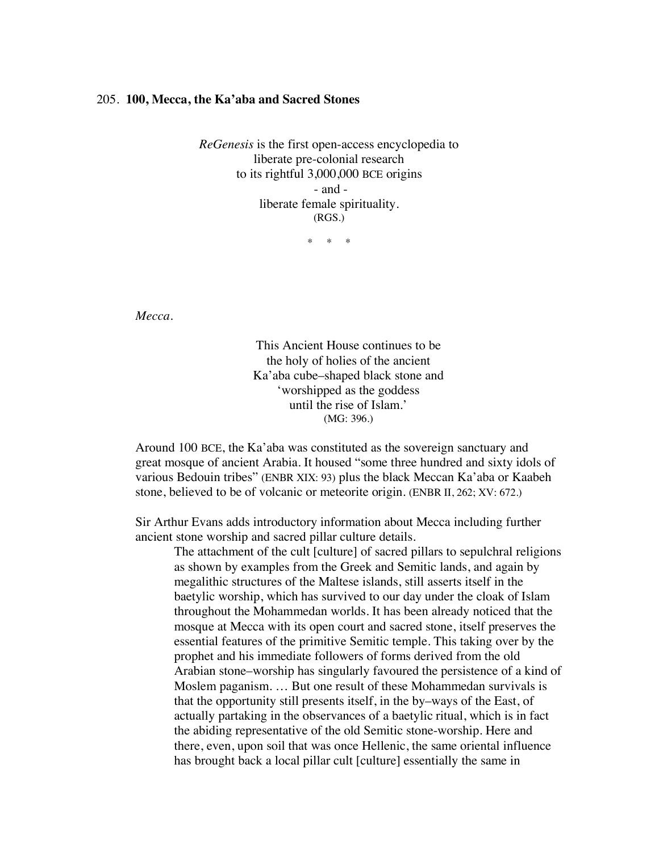## 205. **100, Mecca, the Ka'aba and Sacred Stones**

*ReGenesis* is the first open-access encyclopedia to liberate pre-colonial research to its rightful 3,000,000 BCE origins - and liberate female spirituality. (RGS.)

\* \* \*

*Mecca.*

This Ancient House continues to be the holy of holies of the ancient Ka'aba cube–shaped black stone and 'worshipped as the goddess until the rise of Islam.' (MG: 396.)

Around 100 BCE, the Ka'aba was constituted as the sovereign sanctuary and great mosque of ancient Arabia. It housed "some three hundred and sixty idols of various Bedouin tribes" (ENBR XIX: 93) plus the black Meccan Ka'aba or Kaabeh stone, believed to be of volcanic or meteorite origin. (ENBR II, 262; XV: 672.)

Sir Arthur Evans adds introductory information about Mecca including further ancient stone worship and sacred pillar culture details.

The attachment of the cult [culture] of sacred pillars to sepulchral religions as shown by examples from the Greek and Semitic lands, and again by megalithic structures of the Maltese islands, still asserts itself in the baetylic worship, which has survived to our day under the cloak of Islam throughout the Mohammedan worlds. It has been already noticed that the mosque at Mecca with its open court and sacred stone, itself preserves the essential features of the primitive Semitic temple. This taking over by the prophet and his immediate followers of forms derived from the old Arabian stone–worship has singularly favoured the persistence of a kind of Moslem paganism. … But one result of these Mohammedan survivals is that the opportunity still presents itself, in the by–ways of the East, of actually partaking in the observances of a baetylic ritual, which is in fact the abiding representative of the old Semitic stone-worship. Here and there, even, upon soil that was once Hellenic, the same oriental influence has brought back a local pillar cult [culture] essentially the same in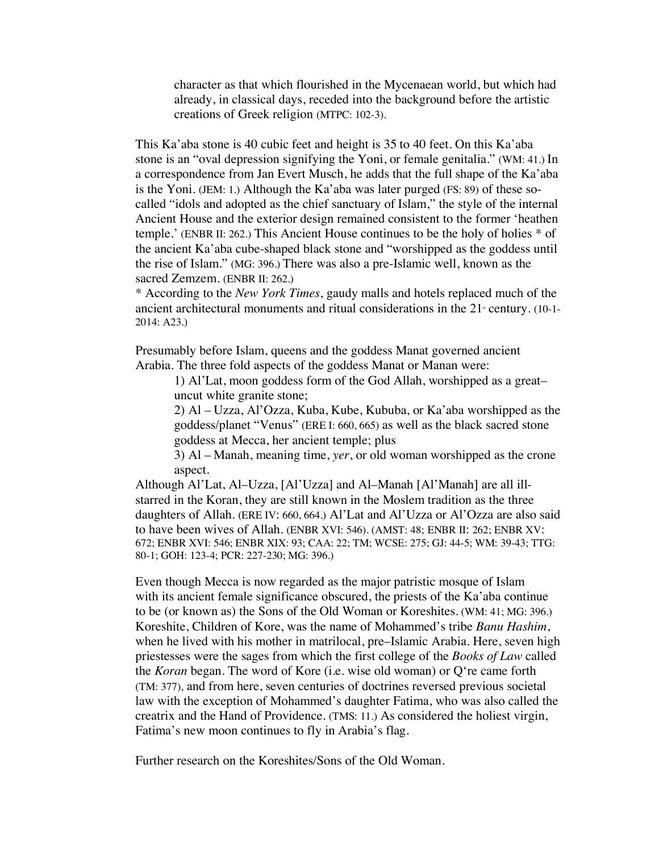character as that which flourished in the Mycenaean world, but which had already, in classical days, receded into the background before the artistic creations of Greek religion (MTPC: 102-3).

This Ka'aba stone is 40 cubic feet and height is 35 to 40 feet. On this Ka'aba stone is an "oval depression signifying the Yoni, or female genitalia." (WM: 41.) In a correspondence from Jan Evert Musch, he adds that the full shape of the Ka'aba is the Yoni. (JEM: 1.) Although the Ka'aba was later purged (FS: 89) of these socalled "idols and adopted as the chief sanctuary of Islam," the style of the internal Ancient House and the exterior design remained consistent to the former 'heathen temple.' (ENBR II: 262.) This Ancient House continues to be the holy of holies \* of the ancient Ka'aba cube-shaped black stone and "worshipped as the goddess until the rise of Islam." (MG: 396.) There was also a pre-Islamic well, known as the sacred Zemzem. (ENBR II: 262.)

\* According to the *New York Times*, gaudy malls and hotels replaced much of the ancient architectural monuments and ritual considerations in the  $21<sup>*</sup>$  century. (10-1-2014: A23.)

Presumably before Islam, queens and the goddess Manat governed ancient Arabia. The three fold aspects of the goddess Manat or Manan were:

1) Al'Lat, moon goddess form of the God Allah, worshipped as a great– uncut white granite stone;

2) Al – Uzza, Al'Ozza, Kuba, Kube, Kububa, or Ka'aba worshipped as the goddess/planet "Venus" (ERE I: 660, 665) as well as the black sacred stone goddess at Mecca, her ancient temple; plus

3) Al – Manah, meaning time, *yer*, or old woman worshipped as the crone aspect.

Although Al'Lat, Al–Uzza, [Al'Uzza] and Al–Manah [Al'Manah] are all illstarred in the Koran, they are still known in the Moslem tradition as the three daughters of Allah. (ERE IV: 660, 664.) Al'Lat and Al'Uzza or Al'Ozza are also said to have been wives of Allah. (ENBR XVI: 546). (AMST: 48; ENBR II: 262; ENBR XV: 672; ENBR XVI: 546; ENBR XIX: 93; CAA: 22; TM; WCSE: 275; GJ: 44-5; WM: 39-43; TTG: 80-1; GOH: 123-4; PCR: 227-230; MG: 396.)

Even though Mecca is now regarded as the major patristic mosque of Islam with its ancient female significance obscured, the priests of the Ka'aba continue to be (or known as) the Sons of the Old Woman or Koreshites. (WM: 41; MG: 396.) Koreshite, Children of Kore, was the name of Mohammed's tribe *Banu Hashim*, when he lived with his mother in matrilocal, pre–Islamic Arabia. Here, seven high priestesses were the sages from which the first college of the *Books of Law* called the *Koran* began. The word of Kore (i.e. wise old woman) or Q're came forth (TM: 377), and from here, seven centuries of doctrines reversed previous societal law with the exception of Mohammed's daughter Fatima, who was also called the creatrix and the Hand of Providence. (TMS: 11.) As considered the holiest virgin, Fatima's new moon continues to fly in Arabia's flag.

Further research on the Koreshites/Sons of the Old Woman.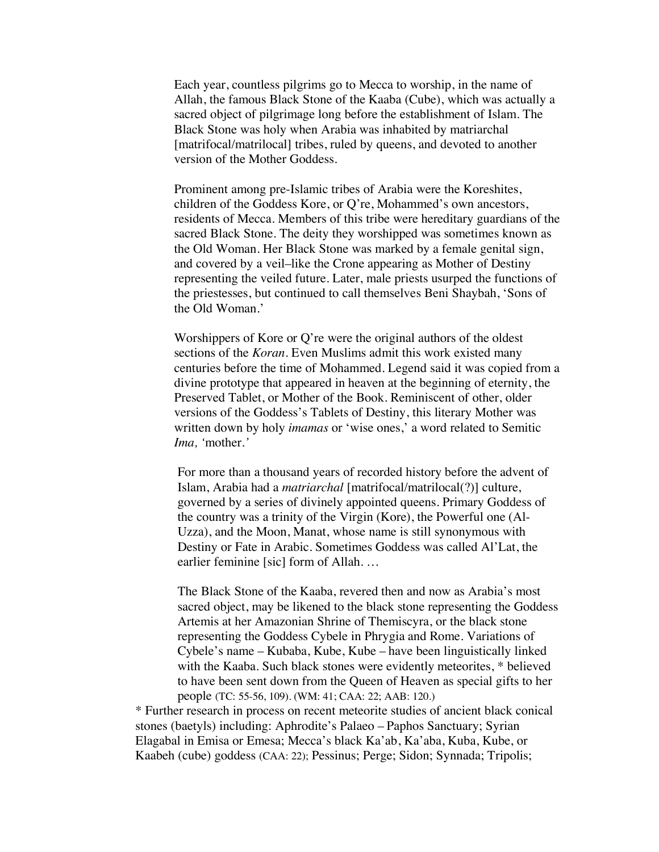Each year, countless pilgrims go to Mecca to worship, in the name of Allah, the famous Black Stone of the Kaaba (Cube), which was actually a sacred object of pilgrimage long before the establishment of Islam. The Black Stone was holy when Arabia was inhabited by matriarchal [matrifocal/matrilocal] tribes, ruled by queens, and devoted to another version of the Mother Goddess.

Prominent among pre-Islamic tribes of Arabia were the Koreshites, children of the Goddess Kore, or Q're, Mohammed's own ancestors, residents of Mecca. Members of this tribe were hereditary guardians of the sacred Black Stone. The deity they worshipped was sometimes known as the Old Woman. Her Black Stone was marked by a female genital sign, and covered by a veil–like the Crone appearing as Mother of Destiny representing the veiled future. Later, male priests usurped the functions of the priestesses, but continued to call themselves Beni Shaybah, 'Sons of the Old Woman.'

Worshippers of Kore or Q're were the original authors of the oldest sections of the *Koran*. Even Muslims admit this work existed many centuries before the time of Mohammed. Legend said it was copied from a divine prototype that appeared in heaven at the beginning of eternity, the Preserved Tablet, or Mother of the Book. Reminiscent of other, older versions of the Goddess's Tablets of Destiny, this literary Mother was written down by holy *imamas* or 'wise ones,' a word related to Semitic *Ima, '*mother*.'*

For more than a thousand years of recorded history before the advent of Islam, Arabia had a *matriarchal* [matrifocal/matrilocal(?)] culture, governed by a series of divinely appointed queens. Primary Goddess of the country was a trinity of the Virgin (Kore), the Powerful one (Al-Uzza), and the Moon, Manat, whose name is still synonymous with Destiny or Fate in Arabic. Sometimes Goddess was called Al'Lat, the earlier feminine [sic] form of Allah. …

The Black Stone of the Kaaba, revered then and now as Arabia's most sacred object, may be likened to the black stone representing the Goddess Artemis at her Amazonian Shrine of Themiscyra, or the black stone representing the Goddess Cybele in Phrygia and Rome. Variations of Cybele's name – Kubaba, Kube, Kube – have been linguistically linked with the Kaaba. Such black stones were evidently meteorites, \* believed to have been sent down from the Queen of Heaven as special gifts to her people (TC: 55-56, 109). (WM: 41; CAA: 22; AAB: 120.)

\* Further research in process on recent meteorite studies of ancient black conical stones (baetyls) including: Aphrodite's Palaeo – Paphos Sanctuary; Syrian Elagabal in Emisa or Emesa; Mecca's black Ka'ab, Ka'aba, Kuba, Kube, or Kaabeh (cube) goddess (CAA: 22); Pessinus; Perge; Sidon; Synnada; Tripolis;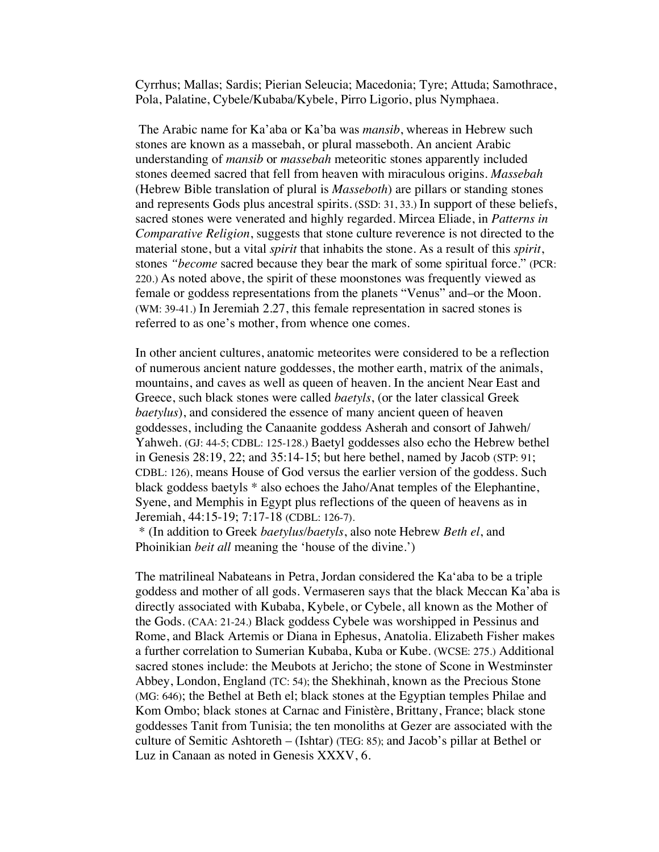Cyrrhus; Mallas; Sardis; Pierian Seleucia; Macedonia; Tyre; Attuda; Samothrace, Pola, Palatine, Cybele/Kubaba/Kybele, Pirro Ligorio, plus Nymphaea.

The Arabic name for Ka'aba or Ka'ba was *mansib*, whereas in Hebrew such stones are known as a massebah, or plural masseboth. An ancient Arabic understanding of *mansib* or *massebah* meteoritic stones apparently included stones deemed sacred that fell from heaven with miraculous origins. *Massebah* (Hebrew Bible translation of plural is *Masseboth*) are pillars or standing stones and represents Gods plus ancestral spirits. (SSD: 31, 33.) In support of these beliefs, sacred stones were venerated and highly regarded. Mircea Eliade, in *Patterns in Comparative Religion*, suggests that stone culture reverence is not directed to the material stone, but a vital *spirit* that inhabits the stone. As a result of this *spirit*, stones *"become* sacred because they bear the mark of some spiritual force." (PCR: 220.) As noted above, the spirit of these moonstones was frequently viewed as female or goddess representations from the planets "Venus" and–or the Moon. (WM: 39-41.) In Jeremiah 2.27, this female representation in sacred stones is referred to as one's mother, from whence one comes.

In other ancient cultures, anatomic meteorites were considered to be a reflection of numerous ancient nature goddesses, the mother earth, matrix of the animals, mountains, and caves as well as queen of heaven. In the ancient Near East and Greece, such black stones were called *baetyls*, (or the later classical Greek *baetylus*), and considered the essence of many ancient queen of heaven goddesses, including the Canaanite goddess Asherah and consort of Jahweh/ Yahweh. (GJ: 44-5; CDBL: 125-128.) Baetyl goddesses also echo the Hebrew bethel in Genesis 28:19, 22; and 35:14-15; but here bethel, named by Jacob (STP: 91; CDBL: 126), means House of God versus the earlier version of the goddess. Such black goddess baetyls \* also echoes the Jaho/Anat temples of the Elephantine, Syene, and Memphis in Egypt plus reflections of the queen of heavens as in Jeremiah, 44:15-19; 7:17-18 (CDBL: 126-7).

\* (In addition to Greek *baetylus/baetyls*, also note Hebrew *Beth el*, and Phoinikian *beit all* meaning the 'house of the divine.')

The matrilineal Nabateans in Petra, Jordan considered the Ka'aba to be a triple goddess and mother of all gods. Vermaseren says that the black Meccan Ka'aba is directly associated with Kubaba, Kybele, or Cybele, all known as the Mother of the Gods. (CAA: 21-24.) Black goddess Cybele was worshipped in Pessinus and Rome, and Black Artemis or Diana in Ephesus, Anatolia. Elizabeth Fisher makes a further correlation to Sumerian Kubaba, Kuba or Kube. (WCSE: 275.) Additional sacred stones include: the Meubots at Jericho; the stone of Scone in Westminster Abbey, London, England (TC: 54); the Shekhinah, known as the Precious Stone (MG: 646); the Bethel at Beth el; black stones at the Egyptian temples Philae and Kom Ombo; black stones at Carnac and Finistère, Brittany, France; black stone goddesses Tanit from Tunisia; the ten monoliths at Gezer are associated with the culture of Semitic Ashtoreth – (Ishtar) (TEG: 85); and Jacob's pillar at Bethel or Luz in Canaan as noted in Genesis XXXV, 6.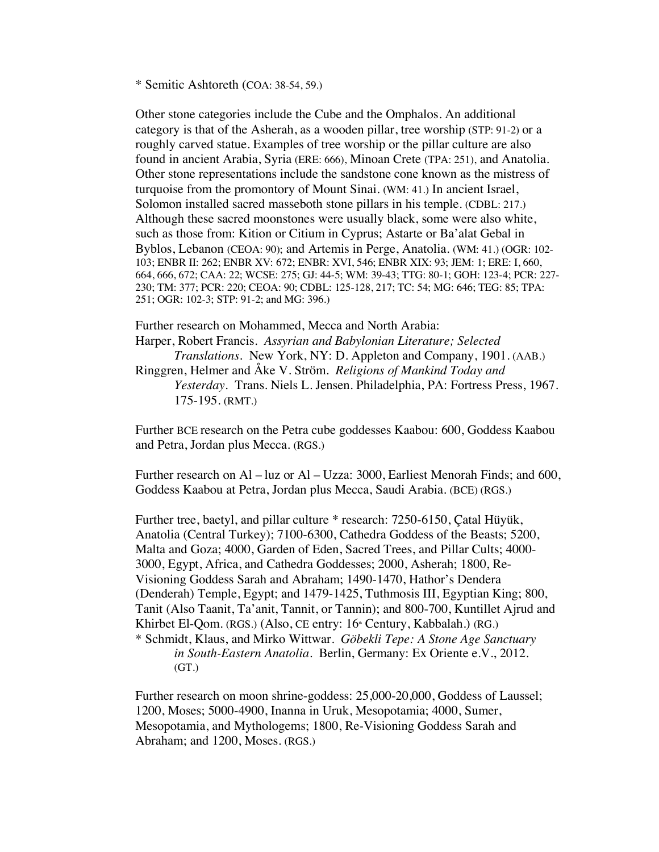\* Semitic Ashtoreth (COA: 38-54, 59.)

Other stone categories include the Cube and the Omphalos. An additional category is that of the Asherah, as a wooden pillar, tree worship (STP: 91-2) or a roughly carved statue. Examples of tree worship or the pillar culture are also found in ancient Arabia, Syria (ERE: 666), Minoan Crete (TPA: 251), and Anatolia. Other stone representations include the sandstone cone known as the mistress of turquoise from the promontory of Mount Sinai. (WM: 41.) In ancient Israel, Solomon installed sacred masseboth stone pillars in his temple. (CDBL: 217.) Although these sacred moonstones were usually black, some were also white, such as those from: Kition or Citium in Cyprus; Astarte or Ba'alat Gebal in Byblos, Lebanon (CEOA: 90); and Artemis in Perge, Anatolia. (WM: 41.) (OGR: 102- 103; ENBR II: 262; ENBR XV: 672; ENBR: XVI, 546; ENBR XIX: 93; JEM: 1; ERE: I, 660, 664, 666, 672; CAA: 22; WCSE: 275; GJ: 44-5; WM: 39-43; TTG: 80-1; GOH: 123-4; PCR: 227- 230; TM: 377; PCR: 220; CEOA: 90; CDBL: 125-128, 217; TC: 54; MG: 646; TEG: 85; TPA: 251; OGR: 102-3; STP: 91-2; and MG: 396.)

Further research on Mohammed, Mecca and North Arabia: Harper, Robert Francis. *Assyrian and Babylonian Literature; Selected Translations.* New York, NY: D. Appleton and Company, 1901. (AAB.) Ringgren, Helmer and Åke V. Ström. *Religions of Mankind Today and Yesterday.* Trans. Niels L. Jensen. Philadelphia, PA: Fortress Press, 1967. 175-195. (RMT.)

Further BCE research on the Petra cube goddesses Kaabou: 600, Goddess Kaabou and Petra, Jordan plus Mecca. (RGS.)

Further research on Al – luz or Al – Uzza: 3000, Earliest Menorah Finds; and 600, Goddess Kaabou at Petra, Jordan plus Mecca, Saudi Arabia. (BCE) (RGS.)

Further tree, baetyl, and pillar culture \* research: 7250-6150, Çatal Hüyük, Anatolia (Central Turkey); 7100-6300, Cathedra Goddess of the Beasts; 5200, Malta and Goza; 4000, Garden of Eden, Sacred Trees, and Pillar Cults; 4000- 3000, Egypt, Africa, and Cathedra Goddesses; 2000, Asherah; 1800, Re-Visioning Goddess Sarah and Abraham; 1490-1470, Hathor's Dendera (Denderah) Temple, Egypt; and 1479-1425, Tuthmosis III, Egyptian King; 800, Tanit (Also Taanit, Ta'anit, Tannit, or Tannin); and 800-700, Kuntillet Ajrud and Khirbet El-Qom. (RGS.) (Also, CE entry: 16<sup>th</sup> Century, Kabbalah.) (RG.)

\* Schmidt, Klaus, and Mirko Wittwar. *Göbekli Tepe: A Stone Age Sanctuary in South-Eastern Anatolia*. Berlin, Germany: Ex Oriente e.V., 2012. (GT.)

Further research on moon shrine-goddess: 25,000-20,000, Goddess of Laussel; 1200, Moses; 5000-4900, Inanna in Uruk, Mesopotamia; 4000, Sumer, Mesopotamia, and Mythologems; 1800, Re-Visioning Goddess Sarah and Abraham; and 1200, Moses. (RGS.)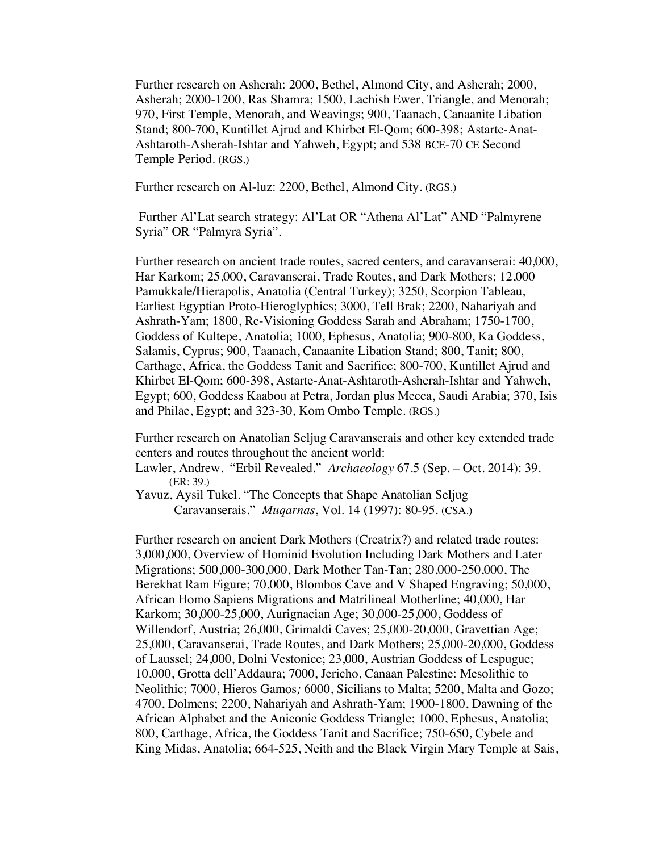Further research on Asherah: 2000, Bethel, Almond City, and Asherah; 2000, Asherah; 2000-1200, Ras Shamra; 1500, Lachish Ewer, Triangle, and Menorah; 970, First Temple, Menorah, and Weavings; 900, Taanach, Canaanite Libation Stand; 800-700, Kuntillet Ajrud and Khirbet El-Qom; 600-398; Astarte-Anat-Ashtaroth-Asherah-Ishtar and Yahweh, Egypt; and 538 BCE-70 CE Second Temple Period. (RGS.)

Further research on Al-luz: 2200, Bethel, Almond City. (RGS.)

Further Al'Lat search strategy: Al'Lat OR "Athena Al'Lat" AND "Palmyrene Syria" OR "Palmyra Syria".

Further research on ancient trade routes, sacred centers, and caravanserai: 40,000, Har Karkom; 25,000, Caravanserai, Trade Routes, and Dark Mothers; 12,000 Pamukkale*/*Hierapolis, Anatolia (Central Turkey); 3250, Scorpion Tableau, Earliest Egyptian Proto-Hieroglyphics; 3000, Tell Brak; 2200, Nahariyah and Ashrath-Yam; 1800, Re-Visioning Goddess Sarah and Abraham; 1750-1700, Goddess of Kultepe, Anatolia; 1000, Ephesus, Anatolia; 900-800, Ka Goddess, Salamis, Cyprus; 900, Taanach, Canaanite Libation Stand; 800, Tanit; 800, Carthage, Africa, the Goddess Tanit and Sacrifice; 800-700, Kuntillet Ajrud and Khirbet El-Qom; 600-398, Astarte-Anat-Ashtaroth-Asherah-Ishtar and Yahweh, Egypt; 600, Goddess Kaabou at Petra, Jordan plus Mecca, Saudi Arabia; 370, Isis and Philae, Egypt; and 323-30, Kom Ombo Temple. (RGS.)

Further research on Anatolian Seljug Caravanserais and other key extended trade centers and routes throughout the ancient world:

Lawler, Andrew. "Erbil Revealed." *Archaeology* 67.5 (Sep. – Oct. 2014): 39. (ER: 39.)

Yavuz, Aysil Tukel. "The Concepts that Shape Anatolian Seljug Caravanserais." *Muqarnas*, Vol. 14 (1997): 80-95. (CSA.)

Further research on ancient Dark Mothers (Creatrix?) and related trade routes: 3,000,000, Overview of Hominid Evolution Including Dark Mothers and Later Migrations; 500,000-300,000, Dark Mother Tan-Tan; 280,000-250,000, The Berekhat Ram Figure; 70,000, Blombos Cave and V Shaped Engraving; 50,000, African Homo Sapiens Migrations and Matrilineal Motherline; 40,000, Har Karkom; 30,000-25,000, Aurignacian Age; 30,000-25,000, Goddess of Willendorf, Austria; 26,000, Grimaldi Caves; 25,000-20,000, Gravettian Age; 25,000, Caravanserai, Trade Routes, and Dark Mothers; 25,000-20,000, Goddess of Laussel; 24,000, Dolni Vestonice; 23,000, Austrian Goddess of Lespugue; 10,000, Grotta dell'Addaura; 7000, Jericho, Canaan Palestine: Mesolithic to Neolithic; 7000, Hieros Gamos*;* 6000, Sicilians to Malta; 5200, Malta and Gozo; 4700, Dolmens; 2200, Nahariyah and Ashrath-Yam; 1900-1800, Dawning of the African Alphabet and the Aniconic Goddess Triangle; 1000, Ephesus, Anatolia; 800, Carthage, Africa, the Goddess Tanit and Sacrifice; 750-650, Cybele and King Midas, Anatolia; 664-525, Neith and the Black Virgin Mary Temple at Sais,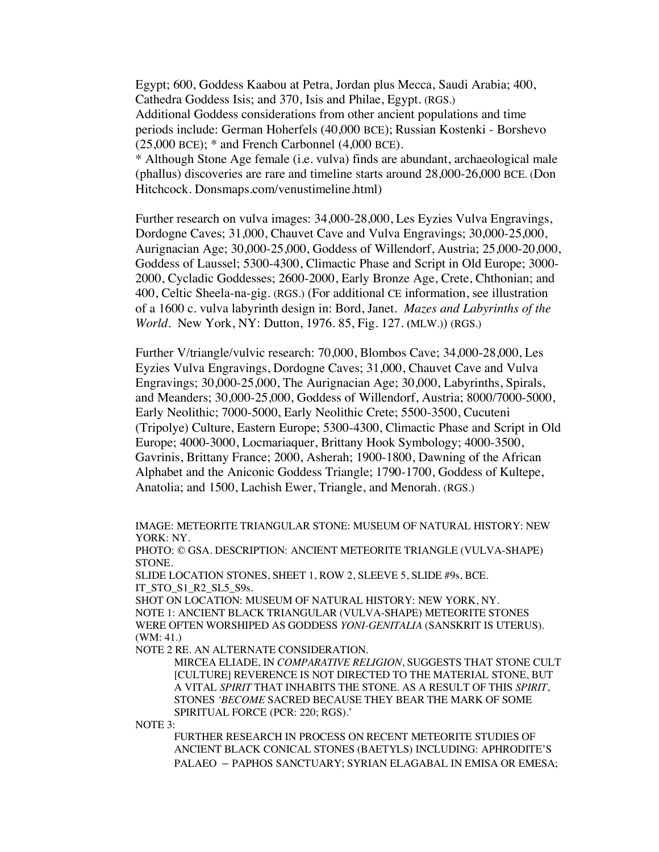Egypt; 600, Goddess Kaabou at Petra, Jordan plus Mecca, Saudi Arabia; 400, Cathedra Goddess Isis; and 370, Isis and Philae, Egypt. (RGS.) Additional Goddess considerations from other ancient populations and time

periods include: German Hoherfels (40,000 BCE); Russian Kostenki - Borshevo (25,000 BCE); \* and French Carbonnel (4,000 BCE).

\* Although Stone Age female (i.e. vulva) finds are abundant, archaeological male (phallus) discoveries are rare and timeline starts around 28,000-26,000 BCE. (Don Hitchcock. Donsmaps.com/venustimeline.html)

Further research on vulva images: 34,000-28,000, Les Eyzies Vulva Engravings, Dordogne Caves; 31,000, Chauvet Cave and Vulva Engravings; 30,000-25,000, Aurignacian Age; 30,000-25,000, Goddess of Willendorf, Austria; 25,000-20,000, Goddess of Laussel; 5300-4300, Climactic Phase and Script in Old Europe; 3000- 2000, Cycladic Goddesses; 2600-2000, Early Bronze Age, Crete, Chthonian; and 400, Celtic Sheela-na-gig. (RGS.) (For additional CE information, see illustration of a 1600 c. vulva labyrinth design in: Bord, Janet. *Mazes and Labyrinths of the World*. New York, NY: Dutton, 1976. 85, Fig. 127. **(**MLW.)) (RGS.)

Further V/triangle/vulvic research: 70,000, Blombos Cave; 34,000-28,000, Les Eyzies Vulva Engravings, Dordogne Caves; 31,000, Chauvet Cave and Vulva Engravings; 30,000-25,000, The Aurignacian Age; 30,000, Labyrinths, Spirals, and Meanders; 30,000-25,000, Goddess of Willendorf, Austria; 8000/7000-5000, Early Neolithic; 7000-5000, Early Neolithic Crete; 5500-3500, Cucuteni (Tripolye) Culture, Eastern Europe; 5300-4300, Climactic Phase and Script in Old Europe; 4000-3000, Locmariaquer, Brittany Hook Symbology; 4000-3500, Gavrinis, Brittany France; 2000, Asherah; 1900-1800, Dawning of the African Alphabet and the Aniconic Goddess Triangle; 1790-1700, Goddess of Kultepe, Anatolia; and 1500, Lachish Ewer, Triangle, and Menorah. (RGS.)

IMAGE: METEORITE TRIANGULAR STONE: MUSEUM OF NATURAL HISTORY: NEW YORK: NY.

PHOTO: © GSA. DESCRIPTION: ANCIENT METEORITE TRIANGLE (VULVA-SHAPE) STONE.

SLIDE LOCATION STONES, SHEET 1, ROW 2, SLEEVE 5, SLIDE #9s, BCE. IT\_STO\_S1\_R2\_SL5\_S9s.

SHOT ON LOCATION: MUSEUM OF NATURAL HISTORY: NEW YORK, NY. NOTE 1: ANCIENT BLACK TRIANGULAR (VULVA-SHAPE) METEORITE STONES WERE OFTEN WORSHIPED AS GODDESS *YONI-GENITALIA* (SANSKRIT IS UTERUS). (WM: 41.)

NOTE 2 RE. AN ALTERNATE CONSIDERATION.

MIRCEA ELIADE, IN *COMPARATIVE RELIGION*, SUGGESTS THAT STONE CULT [CULTURE] REVERENCE IS NOT DIRECTED TO THE MATERIAL STONE, BUT A VITAL *SPIRIT* THAT INHABITS THE STONE. AS A RESULT OF THIS *SPIRIT*, STONES *'BECOME* SACRED BECAUSE THEY BEAR THE MARK OF SOME SPIRITUAL FORCE (PCR: 220; RGS).'

NOTE 3:

FURTHER RESEARCH IN PROCESS ON RECENT METEORITE STUDIES OF ANCIENT BLACK CONICAL STONES (BAETYLS) INCLUDING: APHRODITE'S PALAEO – PAPHOS SANCTUARY; SYRIAN ELAGABAL IN EMISA OR EMESA;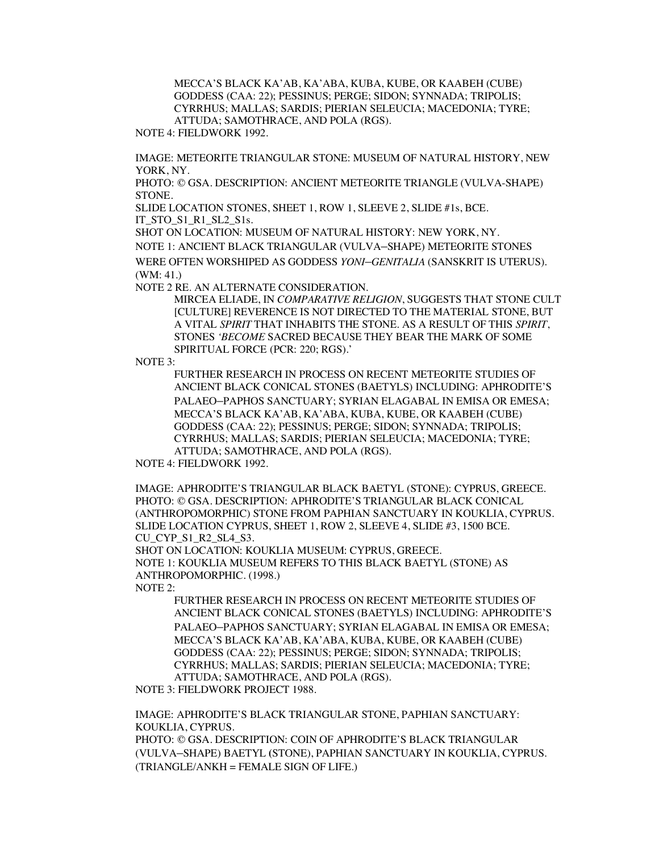MECCA'S BLACK KA'AB, KA'ABA, KUBA, KUBE, OR KAABEH (CUBE) GODDESS (CAA: 22); PESSINUS; PERGE; SIDON; SYNNADA; TRIPOLIS; CYRRHUS; MALLAS; SARDIS; PIERIAN SELEUCIA; MACEDONIA; TYRE; ATTUDA; SAMOTHRACE, AND POLA (RGS).

NOTE 4: FIELDWORK 1992.

IMAGE: METEORITE TRIANGULAR STONE: MUSEUM OF NATURAL HISTORY, NEW YORK, NY.

PHOTO: © GSA. DESCRIPTION: ANCIENT METEORITE TRIANGLE (VULVA-SHAPE) STONE.

SLIDE LOCATION STONES, SHEET 1, ROW 1, SLEEVE 2, SLIDE #1s, BCE. IT\_STO\_S1\_R1\_SL2\_S1s.

SHOT ON LOCATION: MUSEUM OF NATURAL HISTORY: NEW YORK, NY.

NOTE 1: ANCIENT BLACK TRIANGULAR (VULVA–SHAPE) METEORITE STONES

WERE OFTEN WORSHIPED AS GODDESS *YONI*–*GENITALIA* (SANSKRIT IS UTERUS). (WM: 41.)

NOTE 2 RE. AN ALTERNATE CONSIDERATION.

MIRCEA ELIADE, IN *COMPARATIVE RELIGION*, SUGGESTS THAT STONE CULT [CULTURE] REVERENCE IS NOT DIRECTED TO THE MATERIAL STONE, BUT A VITAL *SPIRIT* THAT INHABITS THE STONE. AS A RESULT OF THIS *SPIRIT*, STONES *'BECOME* SACRED BECAUSE THEY BEAR THE MARK OF SOME SPIRITUAL FORCE (PCR: 220; RGS).'

NOTE 3:

FURTHER RESEARCH IN PROCESS ON RECENT METEORITE STUDIES OF ANCIENT BLACK CONICAL STONES (BAETYLS) INCLUDING: APHRODITE'S PALAEO–PAPHOS SANCTUARY; SYRIAN ELAGABAL IN EMISA OR EMESA; MECCA'S BLACK KA'AB, KA'ABA, KUBA, KUBE, OR KAABEH (CUBE) GODDESS (CAA: 22); PESSINUS; PERGE; SIDON; SYNNADA; TRIPOLIS; CYRRHUS; MALLAS; SARDIS; PIERIAN SELEUCIA; MACEDONIA; TYRE; ATTUDA; SAMOTHRACE, AND POLA (RGS).

NOTE 4: FIELDWORK 1992.

IMAGE: APHRODITE'S TRIANGULAR BLACK BAETYL (STONE): CYPRUS, GREECE. PHOTO: © GSA. DESCRIPTION: APHRODITE'S TRIANGULAR BLACK CONICAL (ANTHROPOMORPHIC) STONE FROM PAPHIAN SANCTUARY IN KOUKLIA, CYPRUS. SLIDE LOCATION CYPRUS, SHEET 1, ROW 2, SLEEVE 4, SLIDE #3, 1500 BCE. CU\_CYP\_S1\_R2\_SL4\_S3.

SHOT ON LOCATION: KOUKLIA MUSEUM: CYPRUS, GREECE. NOTE 1: KOUKLIA MUSEUM REFERS TO THIS BLACK BAETYL (STONE) AS ANTHROPOMORPHIC. (1998.) NOTE 2:

> FURTHER RESEARCH IN PROCESS ON RECENT METEORITE STUDIES OF ANCIENT BLACK CONICAL STONES (BAETYLS) INCLUDING: APHRODITE'S PALAEO–PAPHOS SANCTUARY; SYRIAN ELAGABAL IN EMISA OR EMESA; MECCA'S BLACK KA'AB, KA'ABA, KUBA, KUBE, OR KAABEH (CUBE) GODDESS (CAA: 22); PESSINUS; PERGE; SIDON; SYNNADA; TRIPOLIS; CYRRHUS; MALLAS; SARDIS; PIERIAN SELEUCIA; MACEDONIA; TYRE; ATTUDA; SAMOTHRACE, AND POLA (RGS).

NOTE 3: FIELDWORK PROJECT 1988.

IMAGE: APHRODITE'S BLACK TRIANGULAR STONE, PAPHIAN SANCTUARY: KOUKLIA, CYPRUS.

PHOTO: © GSA. DESCRIPTION: COIN OF APHRODITE'S BLACK TRIANGULAR (VULVA–SHAPE) BAETYL **(**STONE), PAPHIAN SANCTUARY IN KOUKLIA, CYPRUS. (TRIANGLE/ANKH = FEMALE SIGN OF LIFE.)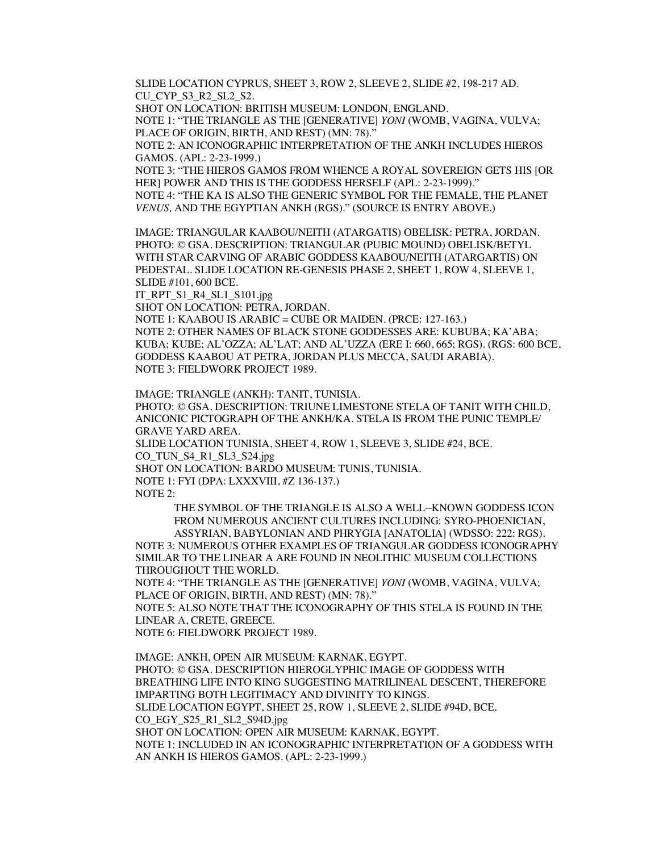SLIDE LOCATION CYPRUS, SHEET 3, ROW 2, SLEEVE 2, SLIDE #2, 198-217 AD. CU CYP S3 R2 SL2 S2.

SHOT ON LOCATION: BRITISH MUSEUM: LONDON, ENGLAND.

NOTE 1: "THE TRIANGLE AS THE [GENERATIVE] *YONI* (WOMB, VAGINA, VULVA; PLACE OF ORIGIN, BIRTH, AND REST) (MN: 78)."

NOTE 2: AN ICONOGRAPHIC INTERPRETATION OF THE ANKH INCLUDES HIEROS GAMOS. (APL: 2-23-1999.)

NOTE 3: "THE HIEROS GAMOS FROM WHENCE A ROYAL SOVEREIGN GETS HIS [OR HER] POWER AND THIS IS THE GODDESS HERSELF (APL: 2-23-1999)."

NOTE 4: "THE KA IS ALSO THE GENERIC SYMBOL FOR THE FEMALE, THE PLANET *VENUS,* AND THE EGYPTIAN ANKH (RGS)." (SOURCE IS ENTRY ABOVE.)

IMAGE: TRIANGULAR KAABOU/NEITH (ATARGATIS) OBELISK: PETRA, JORDAN. PHOTO: © GSA. DESCRIPTION: TRIANGULAR (PUBIC MOUND) OBELISK/BETYL WITH STAR CARVING OF ARABIC GODDESS KAABOU/NEITH (ATARGARTIS) ON PEDESTAL. SLIDE LOCATION RE-GENESIS PHASE 2, SHEET 1, ROW 4, SLEEVE 1, SLIDE #101, 600 BCE.

IT\_RPT\_S1\_R4\_SL1\_S101.jpg

SHOT ON LOCATION: PETRA, JORDAN.

NOTE 1: KAABOU IS ARABIC = CUBE OR MAIDEN. (PRCE: 127-163.) NOTE 2: OTHER NAMES OF BLACK STONE GODDESSES ARE: KUBUBA; KA'ABA; KUBA; KUBE; AL'OZZA; AL'LAT; AND AL'UZZA (ERE I: 660, 665; RGS). (RGS: 600 BCE, GODDESS KAABOU AT PETRA, JORDAN PLUS MECCA, SAUDI ARABIA). NOTE 3: FIELDWORK PROJECT 1989.

IMAGE: TRIANGLE (ANKH): TANIT, TUNISIA.

PHOTO: © GSA. DESCRIPTION: TRIUNE LIMESTONE STELA OF TANIT WITH CHILD, ANICONIC PICTOGRAPH OF THE ANKH/KA. STELA IS FROM THE PUNIC TEMPLE/ GRAVE YARD AREA.

SLIDE LOCATION TUNISIA, SHEET 4, ROW 1, SLEEVE 3, SLIDE #24, BCE.

CO\_TUN\_S4\_R1\_SL3\_S24.jpg

SHOT ON LOCATION: BARDO MUSEUM: TUNIS, TUNISIA.

NOTE 1: FYI (DPA: LXXXVIII, #Z 136-137.)

NOTE 2:

THE SYMBOL OF THE TRIANGLE IS ALSO A WELL–KNOWN GODDESS ICON FROM NUMEROUS ANCIENT CULTURES INCLUDING: SYRO-PHOENICIAN, ASSYRIAN, BABYLONIAN AND PHRYGIA [ANATOLIA] (WDSSO: 222: RGS).

NOTE 3: NUMEROUS OTHER EXAMPLES OF TRIANGULAR GODDESS ICONOGRAPHY SIMILAR TO THE LINEAR A ARE FOUND IN NEOLITHIC MUSEUM COLLECTIONS THROUGHOUT THE WORLD.

NOTE 4: "THE TRIANGLE AS THE [GENERATIVE] *YONI* (WOMB, VAGINA, VULVA; PLACE OF ORIGIN, BIRTH, AND REST) (MN: 78)."

NOTE 5: ALSO NOTE THAT THE ICONOGRAPHY OF THIS STELA IS FOUND IN THE LINEAR A, CRETE, GREECE.

NOTE 6: FIELDWORK PROJECT 1989.

IMAGE: ANKH, OPEN AIR MUSEUM: KARNAK, EGYPT. PHOTO: © GSA. DESCRIPTION HIEROGLYPHIC IMAGE OF GODDESS WITH BREATHING LIFE INTO KING SUGGESTING MATRILINEAL DESCENT, THEREFORE IMPARTING BOTH LEGITIMACY AND DIVINITY TO KINGS. SLIDE LOCATION EGYPT, SHEET 25, ROW 1, SLEEVE 2, SLIDE #94D, BCE. CO\_EGY\_S25\_R1\_SL2\_S94D.jpg SHOT ON LOCATION: OPEN AIR MUSEUM: KARNAK, EGYPT. NOTE 1: INCLUDED IN AN ICONOGRAPHIC INTERPRETATION OF A GODDESS WITH AN ANKH IS HIEROS GAMOS. (APL: 2-23-1999.)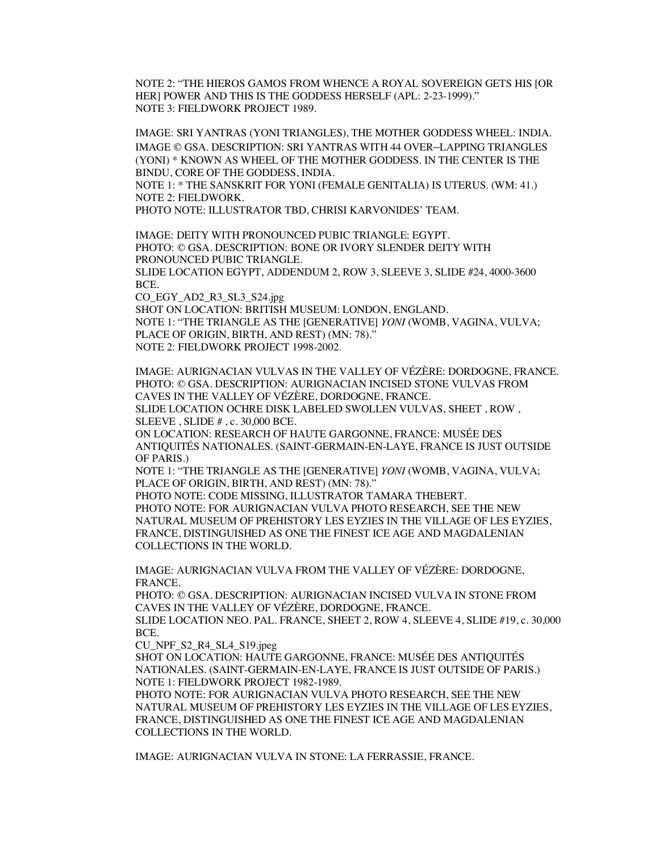NOTE 2: "THE HIEROS GAMOS FROM WHENCE A ROYAL SOVEREIGN GETS HIS [OR HER] POWER AND THIS IS THE GODDESS HERSELF (APL: 2-23-1999)." NOTE 3: FIELDWORK PROJECT 1989.

IMAGE: SRI YANTRAS (YONI TRIANGLES), THE MOTHER GODDESS WHEEL: INDIA. IMAGE © GSA. DESCRIPTION: SRI YANTRAS WITH 44 OVER–LAPPING TRIANGLES (YONI) \* KNOWN AS WHEEL OF THE MOTHER GODDESS. IN THE CENTER IS THE BINDU, CORE OF THE GODDESS, INDIA. NOTE 1: \* THE SANSKRIT FOR YONI (FEMALE GENITALIA) IS UTERUS. (WM: 41.) NOTE 2: FIELDWORK. PHOTO NOTE: ILLUSTRATOR TBD, CHRISI KARVONIDES' TEAM.

IMAGE: DEITY WITH PRONOUNCED PUBIC TRIANGLE: EGYPT. PHOTO: © GSA. DESCRIPTION: BONE OR IVORY SLENDER DEITY WITH PRONOUNCED PUBIC TRIANGLE. SLIDE LOCATION EGYPT, ADDENDUM 2, ROW 3, SLEEVE 3, SLIDE #24, 4000-3600 BCE. CO\_EGY\_AD2\_R3\_SL3\_S24.jpg

SHOT ON LOCATION: BRITISH MUSEUM: LONDON, ENGLAND. NOTE 1: "THE TRIANGLE AS THE [GENERATIVE] *YONI* (WOMB, VAGINA, VULVA; PLACE OF ORIGIN, BIRTH, AND REST) (MN: 78)." NOTE 2: FIELDWORK PROJECT 1998-2002.

IMAGE: AURIGNACIAN VULVAS IN THE VALLEY OF VÉZÈRE: DORDOGNE, FRANCE. PHOTO: © GSA. DESCRIPTION: AURIGNACIAN INCISED STONE VULVAS FROM CAVES IN THE VALLEY OF VÉZÈRE, DORDOGNE, FRANCE.

SLIDE LOCATION OCHRE DISK LABELED SWOLLEN VULVAS, SHEET , ROW , SLEEVE , SLIDE # , c. 30,000 BCE.

ON LOCATION: RESEARCH OF HAUTE GARGONNE, FRANCE: MUSÉE DES ANTIQUITÉS NATIONALES. (SAINT-GERMAIN-EN-LAYE, FRANCE IS JUST OUTSIDE OF PARIS.)

NOTE 1: "THE TRIANGLE AS THE [GENERATIVE] *YONI* (WOMB, VAGINA, VULVA; PLACE OF ORIGIN, BIRTH, AND REST) (MN: 78)."

PHOTO NOTE: CODE MISSING, ILLUSTRATOR TAMARA THEBERT. PHOTO NOTE: FOR AURIGNACIAN VULVA PHOTO RESEARCH, SEE THE NEW NATURAL MUSEUM OF PREHISTORY LES EYZIES IN THE VILLAGE OF LES EYZIES, FRANCE, DISTINGUISHED AS ONE THE FINEST ICE AGE AND MAGDALENIAN COLLECTIONS IN THE WORLD.

IMAGE: AURIGNACIAN VULVA FROM THE VALLEY OF VÉZÈRE: DORDOGNE, FRANCE.

PHOTO: © GSA. DESCRIPTION: AURIGNACIAN INCISED VULVA IN STONE FROM CAVES IN THE VALLEY OF VÉZÈRE, DORDOGNE, FRANCE.

SLIDE LOCATION NEO. PAL. FRANCE, SHEET 2, ROW 4, SLEEVE 4, SLIDE #19, c. 30,000 BCE.

CU\_NPF\_S2\_R4\_SL4\_S19.jpeg

SHOT ON LOCATION: HAUTE GARGONNE, FRANCE: MUSÉE DES ANTIQUITÉS NATIONALES. (SAINT-GERMAIN-EN-LAYE, FRANCE IS JUST OUTSIDE OF PARIS.) NOTE 1: FIELDWORK PROJECT 1982-1989.

PHOTO NOTE: FOR AURIGNACIAN VULVA PHOTO RESEARCH, SEE THE NEW NATURAL MUSEUM OF PREHISTORY LES EYZIES IN THE VILLAGE OF LES EYZIES, FRANCE, DISTINGUISHED AS ONE THE FINEST ICE AGE AND MAGDALENIAN COLLECTIONS IN THE WORLD.

IMAGE: AURIGNACIAN VULVA IN STONE: LA FERRASSIE, FRANCE.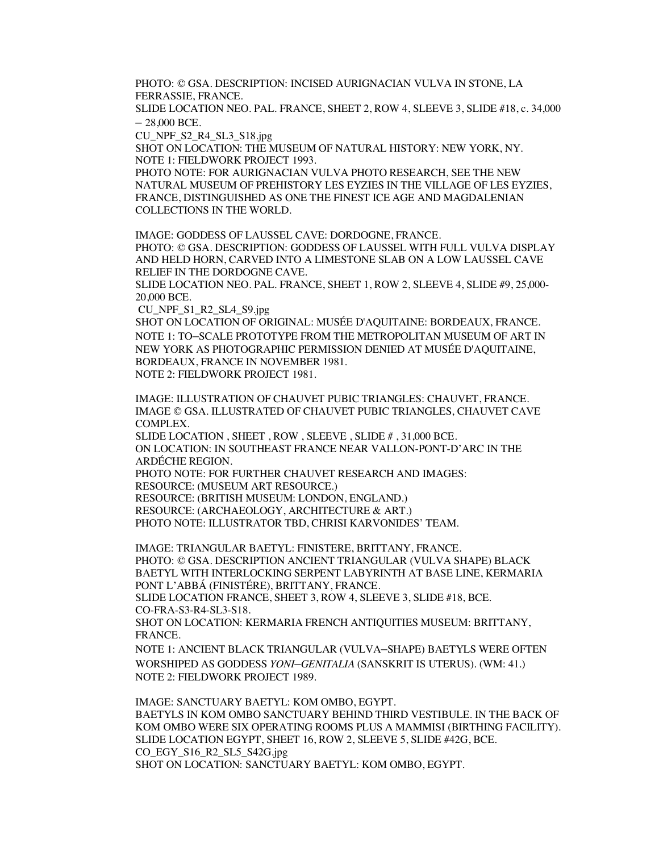PHOTO: © GSA. DESCRIPTION: INCISED AURIGNACIAN VULVA IN STONE, LA FERRASSIE, FRANCE.

SLIDE LOCATION NEO. PAL. FRANCE, SHEET 2, ROW 4, SLEEVE 3, SLIDE #18, c. 34,000  $-28,000$  BCE.

CU\_NPF\_S2\_R4\_SL3\_S18.jpg

SHOT ON LOCATION: THE MUSEUM OF NATURAL HISTORY: NEW YORK, NY. NOTE 1: FIELDWORK PROJECT 1993.

PHOTO NOTE: FOR AURIGNACIAN VULVA PHOTO RESEARCH, SEE THE NEW NATURAL MUSEUM OF PREHISTORY LES EYZIES IN THE VILLAGE OF LES EYZIES, FRANCE, DISTINGUISHED AS ONE THE FINEST ICE AGE AND MAGDALENIAN COLLECTIONS IN THE WORLD.

IMAGE: GODDESS OF LAUSSEL CAVE: DORDOGNE, FRANCE. PHOTO: © GSA. DESCRIPTION: GODDESS OF LAUSSEL WITH FULL VULVA DISPLAY AND HELD HORN, CARVED INTO A LIMESTONE SLAB ON A LOW LAUSSEL CAVE RELIEF IN THE DORDOGNE CAVE.

SLIDE LOCATION NEO. PAL. FRANCE, SHEET 1, ROW 2, SLEEVE 4, SLIDE #9, 25,000- 20,000 BCE.

CU\_NPF\_S1\_R2\_SL4\_S9.jpg

SHOT ON LOCATION OF ORIGINAL: MUSÉE D'AQUITAINE: BORDEAUX, FRANCE. NOTE 1: TO–SCALE PROTOTYPE FROM THE METROPOLITAN MUSEUM OF ART IN NEW YORK AS PHOTOGRAPHIC PERMISSION DENIED AT MUSÉE D'AQUITAINE, BORDEAUX, FRANCE IN NOVEMBER 1981. NOTE 2: FIELDWORK PROJECT 1981.

IMAGE: ILLUSTRATION OF CHAUVET PUBIC TRIANGLES: CHAUVET, FRANCE. IMAGE © GSA. ILLUSTRATED OF CHAUVET PUBIC TRIANGLES, CHAUVET CAVE COMPLEX.

SLIDE LOCATION , SHEET , ROW , SLEEVE , SLIDE # , 31,000 BCE. ON LOCATION: IN SOUTHEAST FRANCE NEAR VALLON-PONT-D'ARC IN THE ARDÉCHE REGION.

PHOTO NOTE: FOR FURTHER CHAUVET RESEARCH AND IMAGES: RESOURCE: (MUSEUM ART RESOURCE.) RESOURCE: (BRITISH MUSEUM: LONDON, ENGLAND.) RESOURCE: (ARCHAEOLOGY, ARCHITECTURE & ART.) PHOTO NOTE: ILLUSTRATOR TBD, CHRISI KARVONIDES' TEAM.

IMAGE: TRIANGULAR BAETYL: FINISTERE, BRITTANY, FRANCE.

PHOTO: © GSA. DESCRIPTION ANCIENT TRIANGULAR (VULVA SHAPE) BLACK BAETYL WITH INTERLOCKING SERPENT LABYRINTH AT BASE LINE, KERMARIA PONT L'ABBÁ (FINISTÉRE), BRITTANY, FRANCE. SLIDE LOCATION FRANCE, SHEET 3, ROW 4, SLEEVE 3, SLIDE #18, BCE.

CO-FRA-S3-R4-SL3-S18.

SHOT ON LOCATION: KERMARIA FRENCH ANTIQUITIES MUSEUM: BRITTANY, FRANCE.

NOTE 1: ANCIENT BLACK TRIANGULAR (VULVA–SHAPE) BAETYLS WERE OFTEN WORSHIPED AS GODDESS *YONI*–*GENITALIA* (SANSKRIT IS UTERUS). (WM: 41.) NOTE 2: FIELDWORK PROJECT 1989.

IMAGE: SANCTUARY BAETYL: KOM OMBO, EGYPT. BAETYLS IN KOM OMBO SANCTUARY BEHIND THIRD VESTIBULE. IN THE BACK OF KOM OMBO WERE SIX OPERATING ROOMS PLUS A MAMMISI (BIRTHING FACILITY). SLIDE LOCATION EGYPT, SHEET 16, ROW 2, SLEEVE 5, SLIDE #42G, BCE. CO\_EGY\_S16\_R2\_SL5\_S42G.jpg SHOT ON LOCATION: SANCTUARY BAETYL: KOM OMBO, EGYPT.